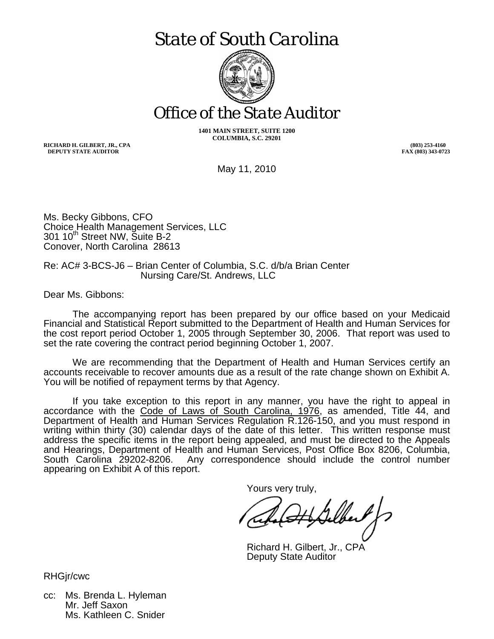# *State of South Carolina*



*Office of the State Auditor* 

**1401 MAIN STREET, SUITE 1200 COLUMBIA, S.C. 29201** 

**RICHARD H. GILBERT, JR., CPA DEPUTY STATE AUDITOR** 

**(803) 253-4160 FAX (803) 343-0723**

May 11, 2010

Ms. Becky Gibbons, CFO Choice Health Management Services, LLC 301 10<sup>th</sup> Street NW, Suite B-2 Conover, North Carolina 28613

Re: AC# 3-BCS-J6 – Brian Center of Columbia, S.C. d/b/a Brian Center Nursing Care/St. Andrews, LLC

Dear Ms. Gibbons:

 The accompanying report has been prepared by our office based on your Medicaid Financial and Statistical Report submitted to the Department of Health and Human Services for the cost report period October 1, 2005 through September 30, 2006. That report was used to set the rate covering the contract period beginning October 1, 2007.

 We are recommending that the Department of Health and Human Services certify an accounts receivable to recover amounts due as a result of the rate change shown on Exhibit A. You will be notified of repayment terms by that Agency.

 If you take exception to this report in any manner, you have the right to appeal in accordance with the Code of Laws of South Carolina, 1976, as amended, Title 44, and Department of Health and Human Services Regulation R.126-150, and you must respond in writing within thirty (30) calendar days of the date of this letter. This written response must address the specific items in the report being appealed, and must be directed to the Appeals and Hearings, Department of Health and Human Services, Post Office Box 8206, Columbia, Any correspondence should include the control number appearing on Exhibit A of this report.

Yours very truly,

Richard H. Gilbert, Jr., CPA Deputy State Auditor

RHGjr/cwc

cc: Ms. Brenda L. Hyleman Mr. Jeff Saxon Ms. Kathleen C. Snider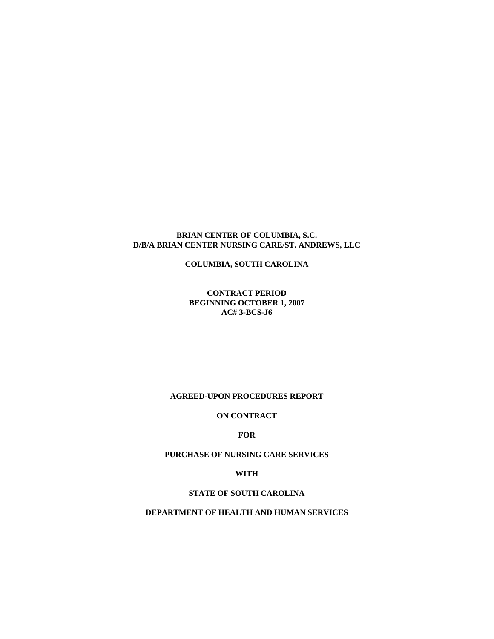#### **BRIAN CENTER OF COLUMBIA, S.C. D/B/A BRIAN CENTER NURSING CARE/ST. ANDREWS, LLC**

**COLUMBIA, SOUTH CAROLINA** 

**CONTRACT PERIOD BEGINNING OCTOBER 1, 2007 AC# 3-BCS-J6** 

#### **AGREED-UPON PROCEDURES REPORT**

#### **ON CONTRACT**

#### **FOR**

#### **PURCHASE OF NURSING CARE SERVICES**

**WITH** 

### **STATE OF SOUTH CAROLINA**

#### **DEPARTMENT OF HEALTH AND HUMAN SERVICES**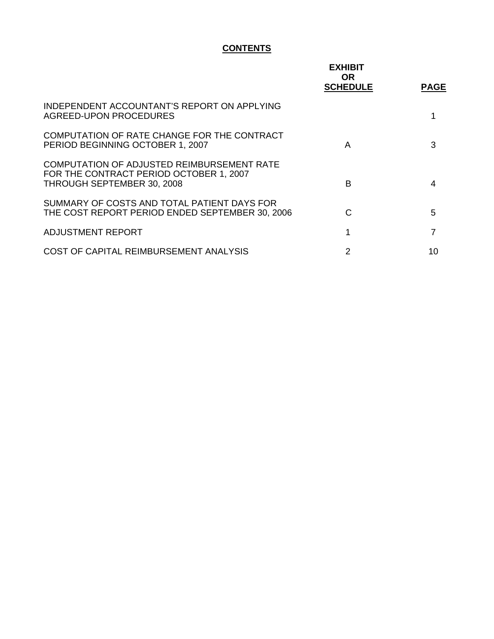# **CONTENTS**

|                                                                                                                     | <b>EXHIBIT</b><br>OR.<br><b>SCHEDULE</b> | <b>PAGE</b> |
|---------------------------------------------------------------------------------------------------------------------|------------------------------------------|-------------|
| INDEPENDENT ACCOUNTANT'S REPORT ON APPLYING<br>AGREED-UPON PROCEDURES                                               |                                          |             |
| COMPUTATION OF RATE CHANGE FOR THE CONTRACT<br>PERIOD BEGINNING OCTOBER 1, 2007                                     | A                                        | 3           |
| COMPUTATION OF ADJUSTED REIMBURSEMENT RATE<br>FOR THE CONTRACT PERIOD OCTOBER 1, 2007<br>THROUGH SEPTEMBER 30, 2008 | B                                        | 4           |
| SUMMARY OF COSTS AND TOTAL PATIENT DAYS FOR<br>THE COST REPORT PERIOD ENDED SEPTEMBER 30, 2006                      | C                                        | 5           |
| ADJUSTMENT REPORT                                                                                                   | 1                                        | 7           |
| COST OF CAPITAL REIMBURSEMENT ANALYSIS                                                                              | 2                                        | 10          |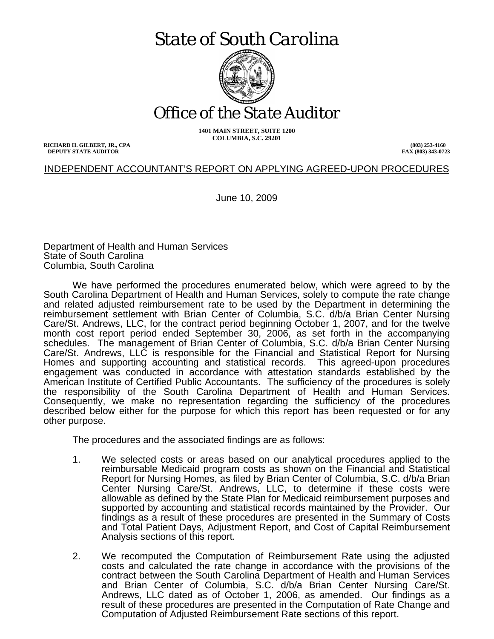# *State of South Carolina*



*Office of the State Auditor* 

**1401 MAIN STREET, SUITE 1200 COLUMBIA, S.C. 29201** 

**RICHARD H. GILBERT, JR., CPA DEPUTY STATE AUDITOR** 

**(803) 253-4160 FAX (803) 343-0723**

## INDEPENDENT ACCOUNTANT'S REPORT ON APPLYING AGREED-UPON PROCEDURES

June 10, 2009

Department of Health and Human Services State of South Carolina Columbia, South Carolina

 We have performed the procedures enumerated below, which were agreed to by the South Carolina Department of Health and Human Services, solely to compute the rate change and related adjusted reimbursement rate to be used by the Department in determining the reimbursement settlement with Brian Center of Columbia, S.C. d/b/a Brian Center Nursing Care/St. Andrews, LLC, for the contract period beginning October 1, 2007, and for the twelve month cost report period ended September 30, 2006, as set forth in the accompanying schedules. The management of Brian Center of Columbia, S.C. d/b/a Brian Center Nursing Care/St. Andrews, LLC is responsible for the Financial and Statistical Report for Nursing Homes and supporting accounting and statistical records. This agreed-upon procedures engagement was conducted in accordance with attestation standards established by the American Institute of Certified Public Accountants. The sufficiency of the procedures is solely the responsibility of the South Carolina Department of Health and Human Services. Consequently, we make no representation regarding the sufficiency of the procedures described below either for the purpose for which this report has been requested or for any other purpose.

The procedures and the associated findings are as follows:

- 1. We selected costs or areas based on our analytical procedures applied to the reimbursable Medicaid program costs as shown on the Financial and Statistical Report for Nursing Homes, as filed by Brian Center of Columbia, S.C. d/b/a Brian Center Nursing Care/St. Andrews, LLC, to determine if these costs were allowable as defined by the State Plan for Medicaid reimbursement purposes and supported by accounting and statistical records maintained by the Provider. Our findings as a result of these procedures are presented in the Summary of Costs and Total Patient Days, Adjustment Report, and Cost of Capital Reimbursement Analysis sections of this report.
- 2. We recomputed the Computation of Reimbursement Rate using the adjusted costs and calculated the rate change in accordance with the provisions of the contract between the South Carolina Department of Health and Human Services and Brian Center of Columbia, S.C. d/b/a Brian Center Nursing Care/St. Andrews, LLC dated as of October 1, 2006, as amended. Our findings as a result of these procedures are presented in the Computation of Rate Change and Computation of Adjusted Reimbursement Rate sections of this report.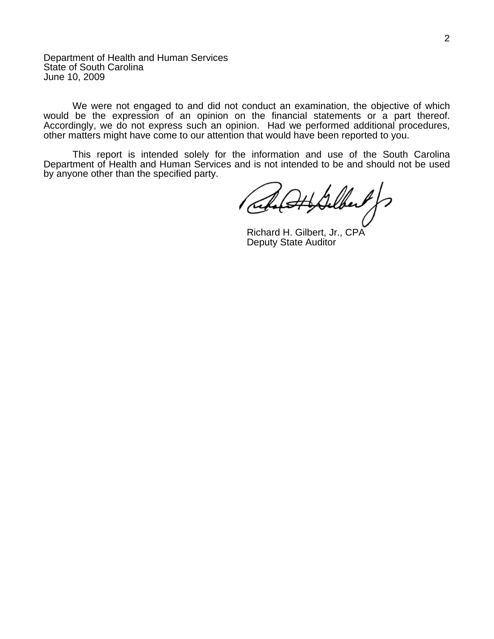Department of Health and Human Services State of South Carolina June 10, 2009

 We were not engaged to and did not conduct an examination, the objective of which would be the expression of an opinion on the financial statements or a part thereof. Accordingly, we do not express such an opinion. Had we performed additional procedures, other matters might have come to our attention that would have been reported to you.

 This report is intended solely for the information and use of the South Carolina Department of Health and Human Services and is not intended to be and should not be used by anyone other than the specified party.

HSelber

Richard H. Gilbert, Jr., CPA Deputy State Auditor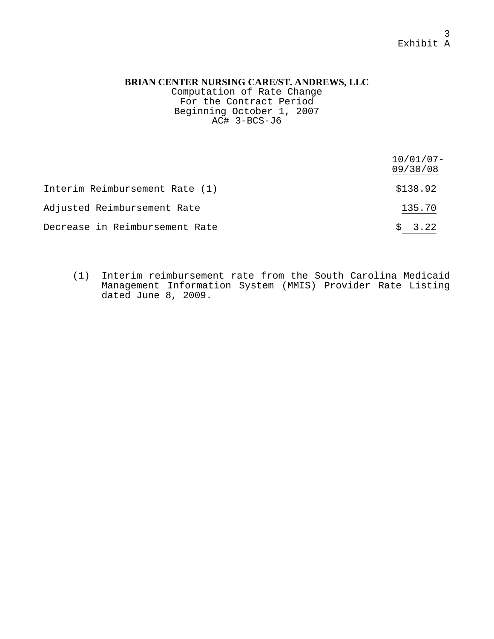Computation of Rate Change For the Contract Period Beginning October 1, 2007  $AC#$  3-BCS-J6

|                                | $10/01/07 -$<br>09/30/08 |
|--------------------------------|--------------------------|
| Interim Reimbursement Rate (1) | \$138.92                 |
| Adjusted Reimbursement Rate    | 135.70                   |
| Decrease in Reimbursement Rate | \$3.22                   |

(1) Interim reimbursement rate from the South Carolina Medicaid Management Information System (MMIS) Provider Rate Listing dated June 8, 2009.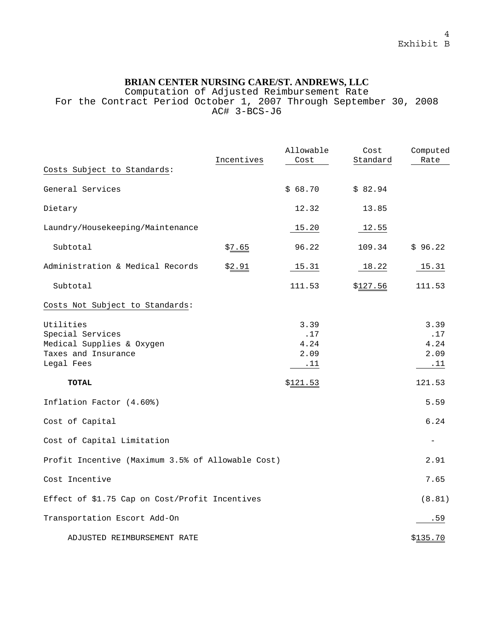Computation of Adjusted Reimbursement Rate

For the Contract Period October 1, 2007 Through September 30, 2008 AC# 3-BCS-J6

|                                                                                                 | Incentives | Allowable<br>Cost                  | Cost<br>Standard | Computed<br>Rate                           |
|-------------------------------------------------------------------------------------------------|------------|------------------------------------|------------------|--------------------------------------------|
| Costs Subject to Standards:                                                                     |            |                                    |                  |                                            |
| General Services                                                                                |            | \$68.70                            | \$82.94          |                                            |
| Dietary                                                                                         |            | 12.32                              | 13.85            |                                            |
| Laundry/Housekeeping/Maintenance                                                                |            | 15.20                              | 12.55            |                                            |
| Subtotal                                                                                        | \$7.65     | 96.22                              | 109.34           | \$96.22                                    |
| Administration & Medical Records                                                                | \$2.91     | 15.31                              | 18.22            | 15.31                                      |
| Subtotal                                                                                        |            | 111.53                             | \$127.56         | 111.53                                     |
| Costs Not Subject to Standards:                                                                 |            |                                    |                  |                                            |
| Utilities<br>Special Services<br>Medical Supplies & Oxygen<br>Taxes and Insurance<br>Legal Fees |            | 3.39<br>.17<br>4.24<br>2.09<br>.11 |                  | 3.39<br>.17<br>4.24<br>2.09<br>$\ldots$ 11 |
| <b>TOTAL</b>                                                                                    |            | \$121.53                           |                  | 121.53                                     |
| Inflation Factor (4.60%)                                                                        |            |                                    |                  | 5.59                                       |
| Cost of Capital                                                                                 |            |                                    |                  | 6.24                                       |
| Cost of Capital Limitation                                                                      |            |                                    |                  | $\overline{\phantom{0}}$                   |
| Profit Incentive (Maximum 3.5% of Allowable Cost)                                               |            |                                    |                  | 2.91                                       |
| Cost Incentive                                                                                  |            |                                    |                  | 7.65                                       |
| Effect of \$1.75 Cap on Cost/Profit Incentives                                                  |            |                                    |                  | (8.81)                                     |
| Transportation Escort Add-On                                                                    |            |                                    |                  | .59                                        |
| ADJUSTED REIMBURSEMENT RATE                                                                     |            |                                    |                  | \$135.70                                   |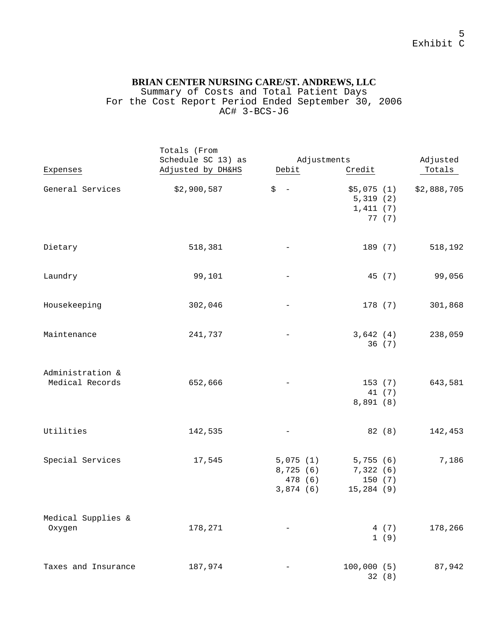#### Summary of Costs and Total Patient Days For the Cost Report Period Ended September 30, 2006 AC# 3-BCS-J6

|                                     | Totals (From       |                                             |                                               |             |
|-------------------------------------|--------------------|---------------------------------------------|-----------------------------------------------|-------------|
|                                     | Schedule SC 13) as | Adjustments                                 |                                               | Adjusted    |
| Expenses                            | Adjusted by DH&HS  | Debit                                       | Credit                                        | Totals      |
| General Services                    | \$2,900,587        | \$<br>$\overline{\phantom{a}}$              | \$5,075(1)<br>5,319(2)<br>1,411(7)<br>77 (7)  | \$2,888,705 |
| Dietary                             | 518,381            | -                                           | 189 (7)                                       | 518,192     |
| Laundry                             | 99,101             | -                                           | 45 (7)                                        | 99,056      |
| Housekeeping                        | 302,046            | $\qquad \qquad -$                           | 178(7)                                        | 301,868     |
| Maintenance                         | 241,737            | -                                           | 3,642(4)<br>36(7)                             | 238,059     |
| Administration &<br>Medical Records | 652,666            | -                                           | 153 (7)<br>41 (7)<br>8,891 (8)                | 643,581     |
| Utilities                           | 142,535            | $\overline{\phantom{m}}$                    | 82 (8)                                        | 142,453     |
| Special Services                    | 17,545             | 5,075(1)<br>8,725(6)<br>478 (6)<br>3,874(6) | 5,755(6)<br>7,322(6)<br>150 (7)<br>15,284 (9) | 7,186       |
| Medical Supplies &<br>Oxygen        | 178,271            |                                             | 4 (7)<br>1(9)                                 | 178,266     |
| Taxes and Insurance                 | 187,974            |                                             | 100,000(5)<br>32 (8)                          | 87,942      |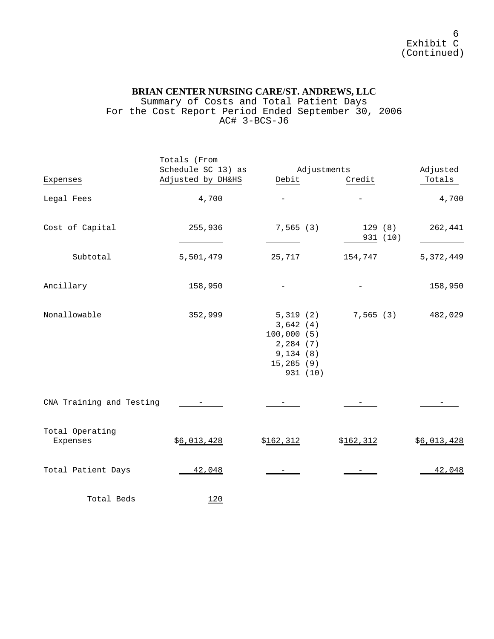Summary of Costs and Total Patient Days For the Cost Report Period Ended September 30, 2006 AC# 3-BCS-J6

|                             | Totals (From<br>Schedule SC 13) as | Adjustments                                                                          |                    | Adjusted    |
|-----------------------------|------------------------------------|--------------------------------------------------------------------------------------|--------------------|-------------|
| Expenses                    | Adjusted by DH&HS                  | Debit                                                                                | Credit             | Totals      |
| Legal Fees                  | 4,700                              |                                                                                      |                    | 4,700       |
| Cost of Capital             | 255,936                            | 7,565(3)                                                                             | 129(8)<br>931 (10) | 262,441     |
| Subtotal                    | 5,501,479                          | 25,717                                                                               | 154,747            | 5, 372, 449 |
| Ancillary                   | 158,950                            |                                                                                      |                    | 158,950     |
| Nonallowable                | 352,999                            | 5,319(2)<br>3,642(4)<br>100,000(5)<br>2,284 (7)<br>9,134(8)<br>15,285(9)<br>931 (10) | 7,565(3)           | 482,029     |
| CNA Training and Testing    |                                    |                                                                                      |                    |             |
| Total Operating<br>Expenses | \$6,013,428                        | \$162,312                                                                            | \$162,312          | \$6,013,428 |
| Total Patient Days          | 42,048                             |                                                                                      |                    | 42,048      |
| Total Beds                  | 120                                |                                                                                      |                    |             |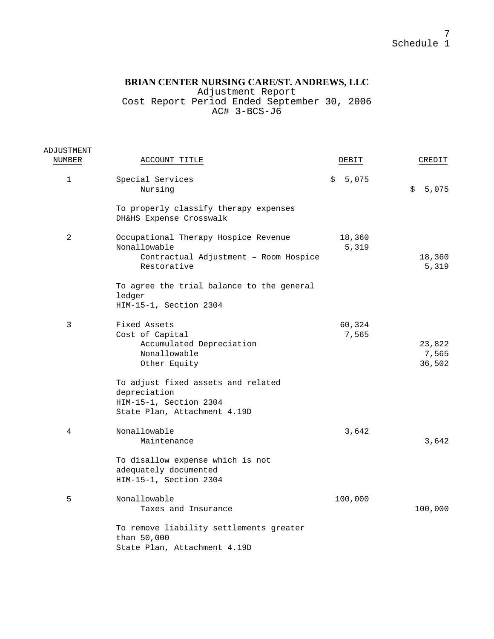Adjustment Report

Cost Report Period Ended September 30, 2006 AC# 3-BCS-J6

| ADJUSTMENT   |                                                                                                              |                 |                           |
|--------------|--------------------------------------------------------------------------------------------------------------|-----------------|---------------------------|
| NUMBER       | ACCOUNT TITLE                                                                                                | DEBIT           | CREDIT                    |
| $\mathbf{1}$ | Special Services<br>Nursing                                                                                  | 5,075<br>\$     | 5,075<br>\$               |
|              | To properly classify therapy expenses<br>DH&HS Expense Crosswalk                                             |                 |                           |
| 2            | Occupational Therapy Hospice Revenue<br>Nonallowable<br>Contractual Adjustment - Room Hospice<br>Restorative | 18,360<br>5,319 | 18,360<br>5,319           |
|              | To agree the trial balance to the general<br>ledger<br>HIM-15-1, Section 2304                                |                 |                           |
| 3            | Fixed Assets<br>Cost of Capital<br>Accumulated Depreciation<br>Nonallowable<br>Other Equity                  | 60,324<br>7,565 | 23,822<br>7,565<br>36,502 |
|              | To adjust fixed assets and related<br>depreciation<br>HIM-15-1, Section 2304<br>State Plan, Attachment 4.19D |                 |                           |
| 4            | Nonallowable<br>Maintenance                                                                                  | 3,642           | 3,642                     |
|              | To disallow expense which is not<br>adequately documented<br>HIM-15-1, Section 2304                          |                 |                           |
| 5            | Nonallowable<br>Taxes and Insurance                                                                          | 100,000         | 100,000                   |
|              | To remove liability settlements greater<br>than 50,000<br>State Plan, Attachment 4.19D                       |                 |                           |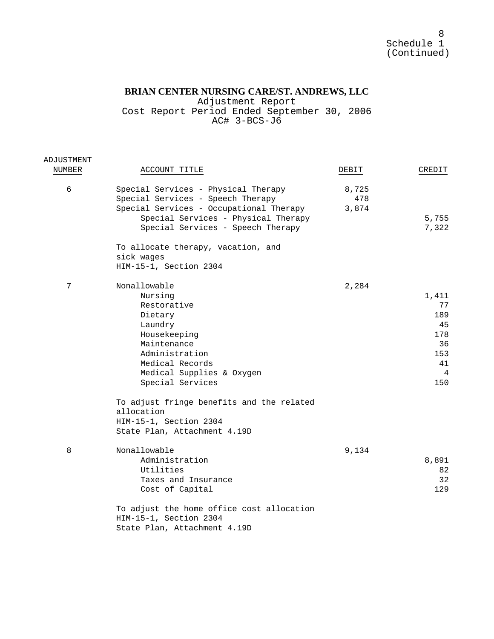Adjustment Report Cost Report Period Ended September 30, 2006 AC# 3-BCS-J6

| ADJUSTMENT |                                                                                                                                                                                                                                                                        |                       |                                                                |
|------------|------------------------------------------------------------------------------------------------------------------------------------------------------------------------------------------------------------------------------------------------------------------------|-----------------------|----------------------------------------------------------------|
| NUMBER     | ACCOUNT TITLE                                                                                                                                                                                                                                                          | DEBIT                 | CREDIT                                                         |
| 6          | Special Services - Physical Therapy<br>Special Services - Speech Therapy<br>Special Services - Occupational Therapy<br>Special Services - Physical Therapy<br>Special Services - Speech Therapy                                                                        | 8,725<br>478<br>3,874 | 5,755<br>7,322                                                 |
|            | To allocate therapy, vacation, and<br>sick wages<br>HIM-15-1, Section 2304                                                                                                                                                                                             |                       |                                                                |
| 7          | Nonallowable<br>Nursing<br>Restorative<br>Dietary<br>Laundry<br>Housekeeping<br>Maintenance<br>Administration<br>Medical Records<br>Medical Supplies & Oxygen<br>Special Services<br>To adjust fringe benefits and the related<br>allocation<br>HIM-15-1, Section 2304 | 2,284                 | 1,411<br>77<br>189<br>45<br>178<br>36<br>153<br>41<br>4<br>150 |
| 8          | State Plan, Attachment 4.19D<br>Nonallowable<br>Administration<br>Utilities<br>Taxes and Insurance<br>Cost of Capital<br>To adjust the home office cost allocation<br>HIM-15-1, Section 2304<br>State Plan, Attachment 4.19D                                           | 9,134                 | 8,891<br>82<br>32<br>129                                       |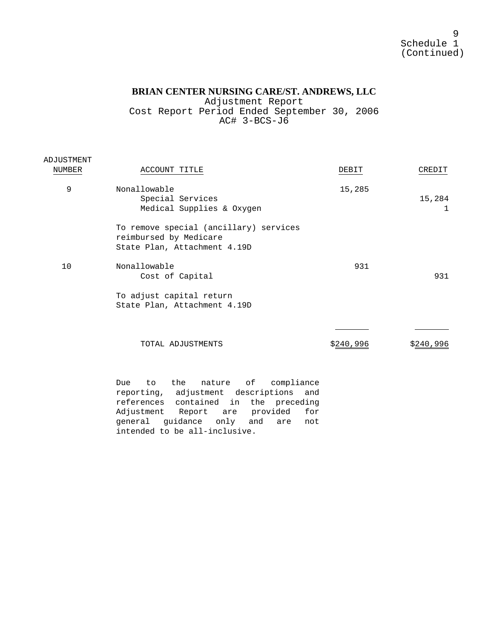9 Schedule 1 (Continued)

## **BRIAN CENTER NURSING CARE/ST. ANDREWS, LLC**

Adjustment Report Cost Report Period Ended September 30, 2006 AC# 3-BCS-J6

| ADJUSTMENT |                                                                                                  |           |             |
|------------|--------------------------------------------------------------------------------------------------|-----------|-------------|
| NUMBER     | ACCOUNT TITLE                                                                                    | DEBIT     | CREDIT      |
| 9          | Nonallowable<br>Special Services<br>Medical Supplies & Oxygen                                    | 15,285    | 15,284<br>ı |
|            | To remove special (ancillary) services<br>reimbursed by Medicare<br>State Plan, Attachment 4.19D |           |             |
| 10         | Nonallowable<br>Cost of Capital                                                                  | 931       | 931         |
|            | To adjust capital return<br>State Plan, Attachment 4.19D                                         |           |             |
|            | TOTAL ADJUSTMENTS                                                                                | \$240,996 | \$240,996   |
|            | compliance<br>the<br>оf<br>nature<br>Due<br>to                                                   |           |             |

reporting, adjustment descriptions and references contained in the preceding Adjustment Report are provided for general guidance only and are not intended to be all-inclusive.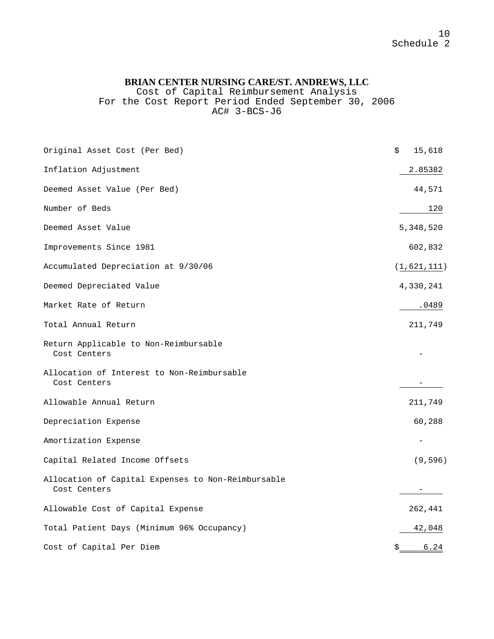Cost of Capital Reimbursement Analysis For the Cost Report Period Ended September 30, 2006 AC# 3-BCS-J6

| Original Asset Cost (Per Bed)                                      | \$<br>15,618                |
|--------------------------------------------------------------------|-----------------------------|
| Inflation Adjustment                                               | 2.85382                     |
| Deemed Asset Value (Per Bed)                                       | 44,571                      |
| Number of Beds                                                     | 120                         |
| Deemed Asset Value                                                 | 5,348,520                   |
| Improvements Since 1981                                            | 602,832                     |
| Accumulated Depreciation at 9/30/06                                | $(\underline{1}, 621, 111)$ |
| Deemed Depreciated Value                                           | 4,330,241                   |
| Market Rate of Return                                              | .0489                       |
| Total Annual Return                                                | 211,749                     |
| Return Applicable to Non-Reimbursable<br>Cost Centers              |                             |
| Allocation of Interest to Non-Reimbursable<br>Cost Centers         |                             |
| Allowable Annual Return                                            | 211,749                     |
| Depreciation Expense                                               | 60,288                      |
| Amortization Expense                                               |                             |
| Capital Related Income Offsets                                     | (9,596)                     |
| Allocation of Capital Expenses to Non-Reimbursable<br>Cost Centers |                             |
| Allowable Cost of Capital Expense                                  | 262,441                     |
| Total Patient Days (Minimum 96% Occupancy)                         | 42,048                      |
| Cost of Capital Per Diem                                           | 6.24<br>\$                  |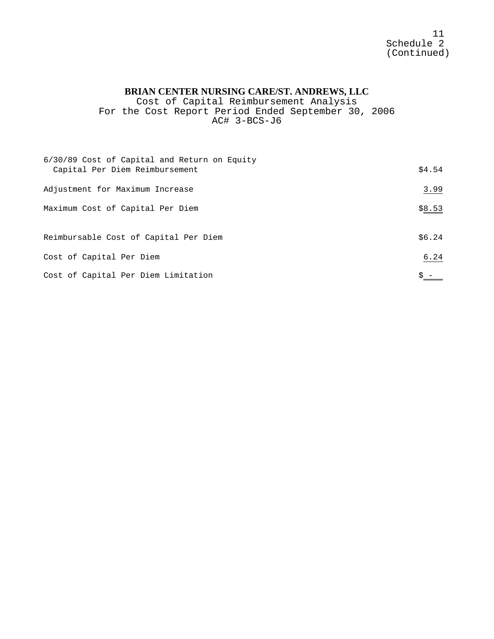11 Schedule 2 (Continued)

# **BRIAN CENTER NURSING CARE/ST. ANDREWS, LLC**

Cost of Capital Reimbursement Analysis For the Cost Report Period Ended September 30, 2006 AC# 3-BCS-J6

| 6/30/89 Cost of Capital and Return on Equity<br>Capital Per Diem Reimbursement | \$4.54 |
|--------------------------------------------------------------------------------|--------|
| Adjustment for Maximum Increase                                                | 3.99   |
| Maximum Cost of Capital Per Diem                                               | \$8.53 |
| Reimbursable Cost of Capital Per Diem                                          | \$6.24 |
| Cost of Capital Per Diem                                                       | 6.24   |
| Cost of Capital Per Diem Limitation                                            |        |